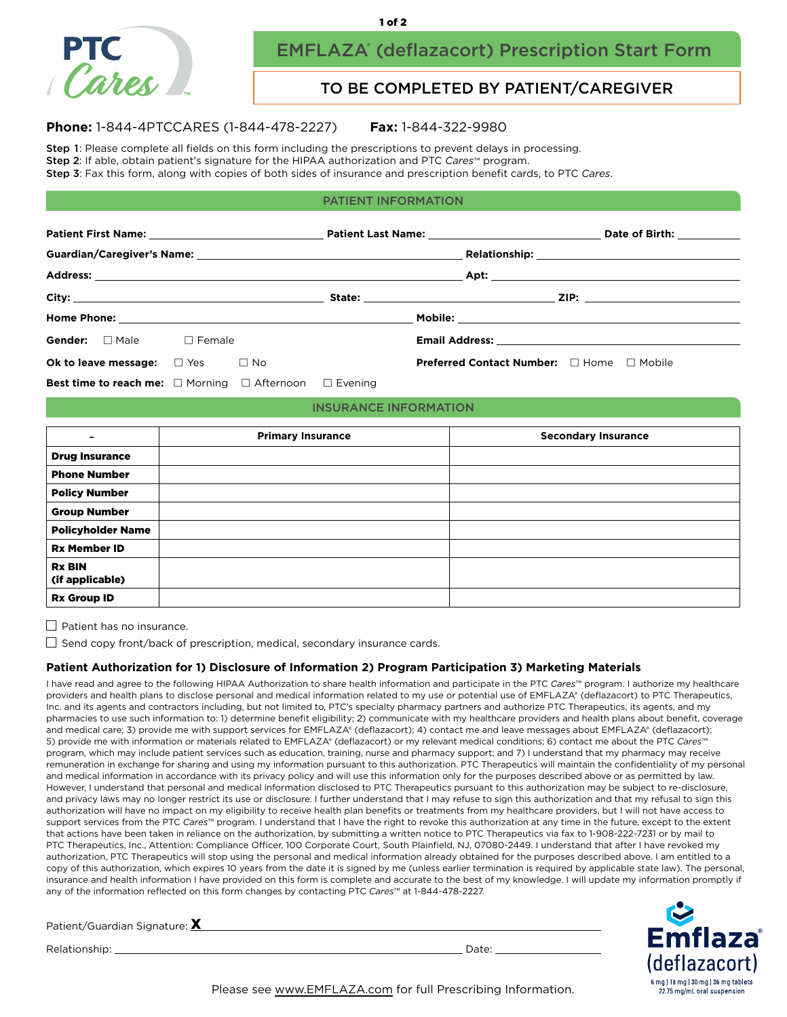

# EMFLAZA® (deflazacort) Prescription Start Form

### TO BE COMPLETED BY PATIENT/CAREGIVER

#### **Phone:** 1-844-4PTCCARES (1-844-478-2227) **Fax:** 1-844-322-9980

Step 1: Please complete all fields on this form including the prescriptions to prevent delays in processing. Step 2: If able, obtain patient's signature for the HIPAA authorization and PTC *Cares*™ program.

Step 3: Fax this form, along with copies of both sides of insurance and prescription benefit cards, to PTC *Cares*.

#### PATIENT INFORMATION

|                                                                              |  |  |                                              |                                                  | Date of Birth: ___________          |
|------------------------------------------------------------------------------|--|--|----------------------------------------------|--------------------------------------------------|-------------------------------------|
|                                                                              |  |  |                                              | Relationship: <u>________________________</u>    |                                     |
|                                                                              |  |  |                                              |                                                  |                                     |
|                                                                              |  |  | State: <u>with the state of the state of</u> | $\vert \mathbf{r} \vert$                         | <u>  ZIP: _____________________</u> |
|                                                                              |  |  |                                              |                                                  |                                     |
| Gender: Male Female                                                          |  |  |                                              |                                                  |                                     |
| Ok to leave message: $\Box$ Yes $\Box$ No                                    |  |  |                                              | <b>Preferred Contact Number:</b> □ Home □ Mobile |                                     |
| <b>Best time to reach me:</b> $\Box$ Morning $\Box$ Afternoon $\Box$ Evening |  |  |                                              |                                                  |                                     |

#### INSURANCE INFORMATION

| $\blacksquare$                   | <b>Primary Insurance</b> | <b>Secondary Insurance</b> |
|----------------------------------|--------------------------|----------------------------|
| <b>Drug Insurance</b>            |                          |                            |
| <b>Phone Number</b>              |                          |                            |
| <b>Policy Number</b>             |                          |                            |
| <b>Group Number</b>              |                          |                            |
| <b>Policyholder Name</b>         |                          |                            |
| <b>Rx Member ID</b>              |                          |                            |
| <b>Rx BIN</b><br>(if applicable) |                          |                            |
| <b>Rx Group ID</b>               |                          |                            |

 $\Box$  Patient has no insurance.

 $\Box$  Send copy front/back of prescription, medical, secondary insurance cards.

#### **Patient Authorization for 1) Disclosure of Information 2) Program Participation 3) Marketing Materials**

I have read and agree to the following HIPAA Authorization to share health information and participate in the PTC *Cares*™ program. I authorize my healthcare providers and health plans to disclose personal and medical information related to my use or potential use of EMFLAZA® (deflazacort) to PTC Therapeutics, Inc. and its agents and contractors including, but not limited to, PTC's specialty pharmacy partners and authorize PTC Therapeutics, its agents, and my pharmacies to use such information to: 1) determine benefit eligibility; 2) communicate with my healthcare providers and health plans about benefit, coverage and medical care; 3) provide me with support services for EMFLAZA® (deflazacort); 4) contact me and leave messages about EMFLAZA® (deflazacort); 5) provide me with information or materials related to EMFLAZA® (deflazacort) or my relevant medical conditions; 6) contact me about the PTC Cares™ program, which may include patient services such as education, training, nurse and pharmacy support; and 7) I understand that my pharmacy may receive remuneration in exchange for sharing and using my information pursuant to this authorization. PTC Therapeutics will maintain the confidentiality of my personal and medical information in accordance with its privacy policy and will use this information only for the purposes described above or as permitted by law. However, I understand that personal and medical information disclosed to PTC Therapeutics pursuant to this authorization may be subject to re-disclosure, and privacy laws may no longer restrict its use or disclosure. I further understand that I may refuse to sign this authorization and that my refusal to sign this authorization will have no impact on my eligibility to receive health plan benefits or treatments from my healthcare providers, but I will not have access to support services from the PTC *Cares*™ program. I understand that I have the right to revoke this authorization at any time in the future, except to the extent that actions have been taken in reliance on the authorization, by submitting a written notice to PTC Therapeutics via fax to 1-908-222-7231 or by mail to PTC Therapeutics, Inc., Attention: Compliance Officer, 100 Corporate Court, South Plainfield, NJ, 07080-2449. I understand that after I have revoked my authorization, PTC Therapeutics will stop using the personal and medical information already obtained for the purposes described above. I am entitled to a copy of this authorization, which expires 10 years from the date it is signed by me (unless earlier termination is required by applicable state law). The personal, insurance and health information I have provided on this form is complete and accurate to the best of my knowledge. I will update my information promptly if any of the information reflected on this form changes by contacting PTC *Cares*™ at 1-844-478-2227.

Patient/Guardian Signature: <u>X</u>

Relationship: Date:



Please see [www.EMFLAZA.com](https://www.emflaza.com/) for full Prescribing Information.

1 of 2